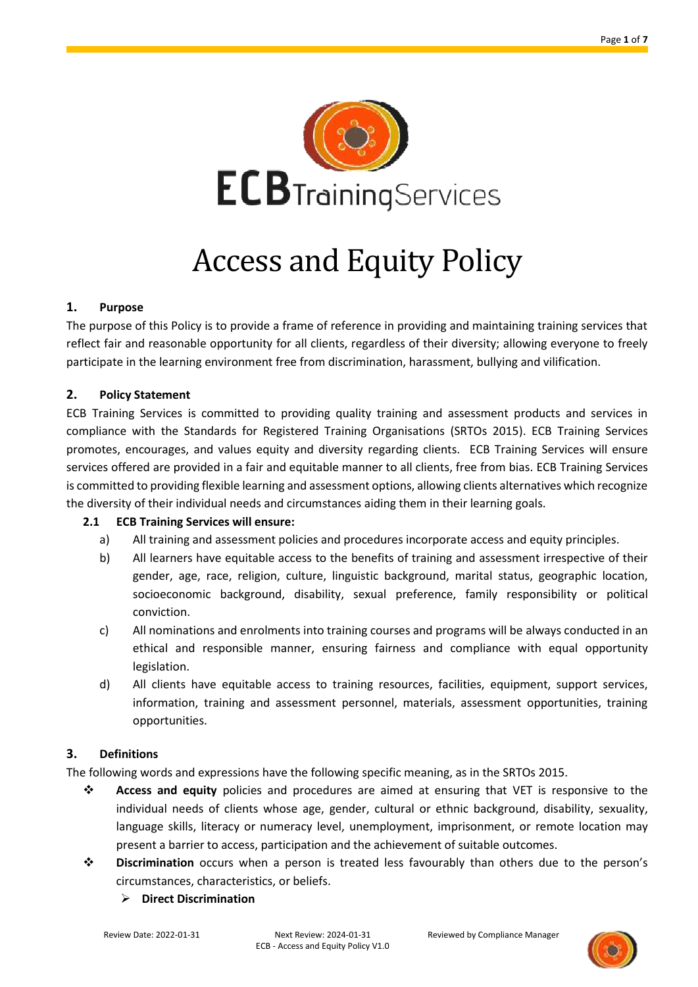

# Access and Equity Policy

#### **1. Purpose**

The purpose of this Policy is to provide a frame of reference in providing and maintaining training services that reflect fair and reasonable opportunity for all clients, regardless of their diversity; allowing everyone to freely participate in the learning environment free from discrimination, harassment, bullying and vilification.

#### **2. Policy Statement**

ECB Training Services is committed to providing quality training and assessment products and services in compliance with the Standards for Registered Training Organisations (SRTOs 2015). ECB Training Services promotes, encourages, and values equity and diversity regarding clients. ECB Training Services will ensure services offered are provided in a fair and equitable manner to all clients, free from bias. ECB Training Services is committed to providing flexible learning and assessment options, allowing clients alternatives which recognize the diversity of their individual needs and circumstances aiding them in their learning goals.

#### **2.1 ECB Training Services will ensure:**

- a) All training and assessment policies and procedures incorporate access and equity principles.
- b) All learners have equitable access to the benefits of training and assessment irrespective of their gender, age, race, religion, culture, linguistic background, marital status, geographic location, socioeconomic background, disability, sexual preference, family responsibility or political conviction.
- c) All nominations and enrolments into training courses and programs will be always conducted in an ethical and responsible manner, ensuring fairness and compliance with equal opportunity legislation.
- d) All clients have equitable access to training resources, facilities, equipment, support services, information, training and assessment personnel, materials, assessment opportunities, training opportunities.

#### **3. Definitions**

The following words and expressions have the following specific meaning, as in the SRTOs 2015.

- ❖ **Access and equity** policies and procedures are aimed at ensuring that VET is responsive to the individual needs of clients whose age, gender, cultural or ethnic background, disability, sexuality, language skills, literacy or numeracy level, unemployment, imprisonment, or remote location may present a barrier to access, participation and the achievement of suitable outcomes.
- ❖ **Discrimination** occurs when a person is treated less favourably than others due to the person's circumstances, characteristics, or beliefs.
	- ➢ **Direct Discrimination**

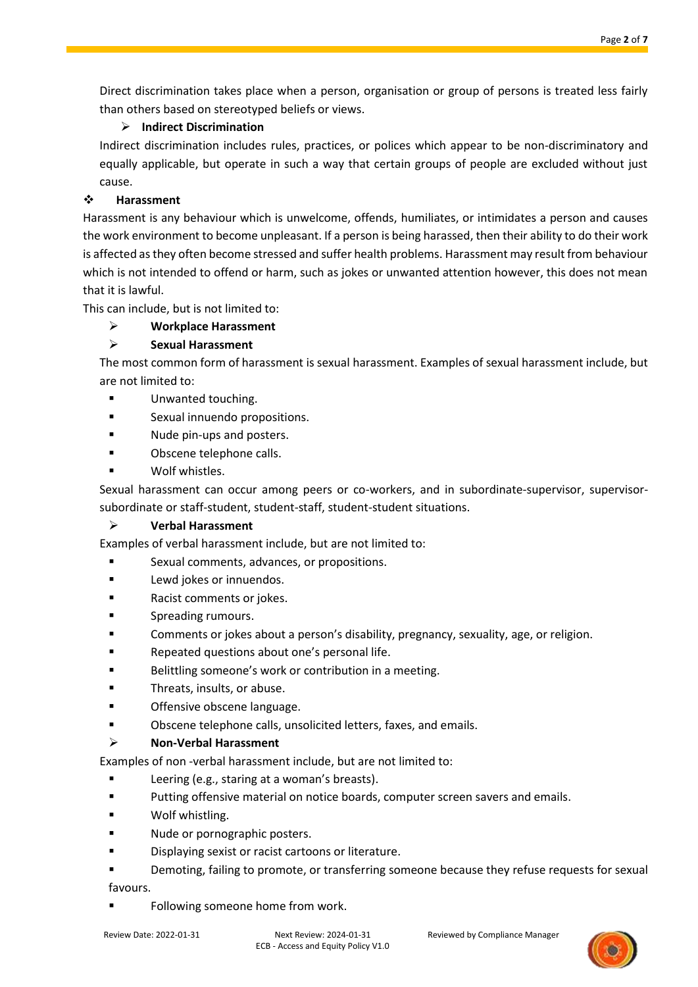Direct discrimination takes place when a person, organisation or group of persons is treated less fairly than others based on stereotyped beliefs or views.

# ➢ **Indirect Discrimination**

Indirect discrimination includes rules, practices, or polices which appear to be non-discriminatory and equally applicable, but operate in such a way that certain groups of people are excluded without just cause.

## ❖ **Harassment**

Harassment is any behaviour which is unwelcome, offends, humiliates, or intimidates a person and causes the work environment to become unpleasant. If a person is being harassed, then their ability to do their work is affected as they often become stressed and suffer health problems. Harassment may result from behaviour which is not intended to offend or harm, such as jokes or unwanted attention however, this does not mean that it is lawful.

This can include, but is not limited to:

# ➢ **Workplace Harassment**

# ➢ **Sexual Harassment**

The most common form of harassment is sexual harassment. Examples of sexual harassment include, but are not limited to:

- Unwanted touching.
- **■** Sexual innuendo propositions.
- Nude pin-ups and posters.
- Obscene telephone calls.
- Wolf whistles.

Sexual harassment can occur among peers or co-workers, and in subordinate-supervisor, supervisorsubordinate or staff-student, student-staff, student-student situations.

#### ➢ **Verbal Harassment**

Examples of verbal harassment include, but are not limited to:

- Sexual comments, advances, or propositions.
- Lewd jokes or innuendos.
- Racist comments or jokes.
- Spreading rumours.
- Comments or jokes about a person's disability, pregnancy, sexuality, age, or religion.
- Repeated questions about one's personal life.
- Belittling someone's work or contribution in a meeting.
- Threats, insults, or abuse.
- Offensive obscene language.
- Obscene telephone calls, unsolicited letters, faxes, and emails.

#### ➢ **Non-Verbal Harassment**

Examples of non -verbal harassment include, but are not limited to:

- Leering (e.g., staring at a woman's breasts).
- Putting offensive material on notice boards, computer screen savers and emails.
- Wolf whistling.
- Nude or pornographic posters.
- Displaying sexist or racist cartoons or literature.
- Demoting, failing to promote, or transferring someone because they refuse requests for sexual favours.
- Following someone home from work.

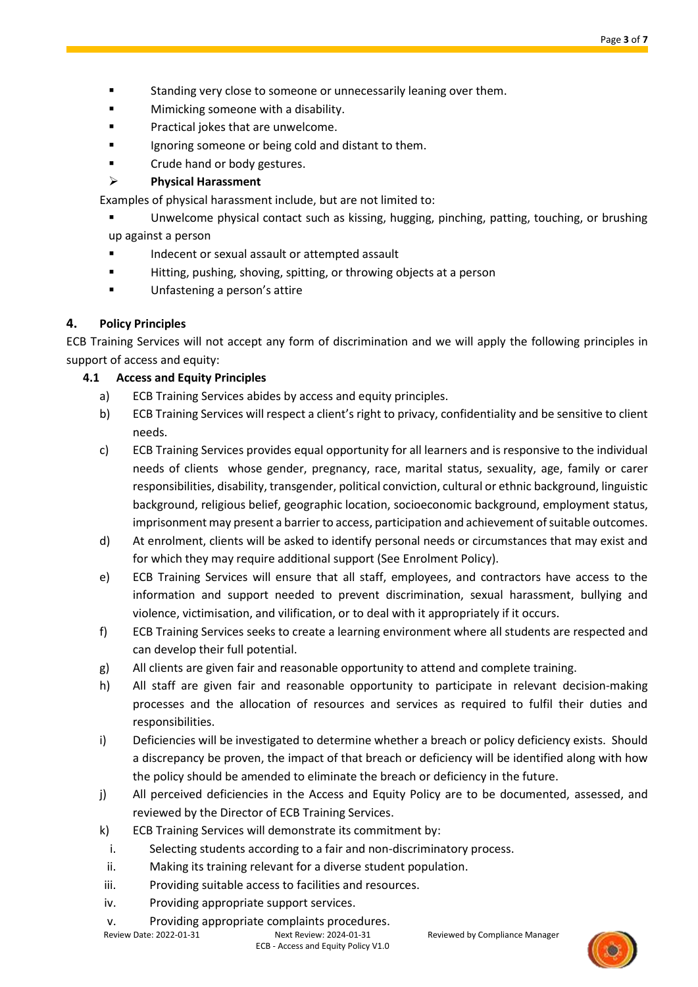- Standing very close to someone or unnecessarily leaning over them.
- Mimicking someone with a disability.
- Practical jokes that are unwelcome.
- Ignoring someone or being cold and distant to them.
- Crude hand or body gestures.
- ➢ **Physical Harassment**

Examples of physical harassment include, but are not limited to:

Unwelcome physical contact such as kissing, hugging, pinching, patting, touching, or brushing up against a person

- Indecent or sexual assault or attempted assault
- Hitting, pushing, shoving, spitting, or throwing objects at a person
- Unfastening a person's attire

# **4. Policy Principles**

ECB Training Services will not accept any form of discrimination and we will apply the following principles in support of access and equity:

# **4.1 Access and Equity Principles**

- a) ECB Training Services abides by access and equity principles.
- b) ECB Training Services will respect a client's right to privacy, confidentiality and be sensitive to client needs.
- c) ECB Training Services provides equal opportunity for all learners and is responsive to the individual needs of clients whose gender, pregnancy, race, marital status, sexuality, age, family or carer responsibilities, disability, transgender, political conviction, cultural or ethnic background, linguistic background, religious belief, geographic location, socioeconomic background, employment status, imprisonment may present a barrier to access, participation and achievement of suitable outcomes.
- d) At enrolment, clients will be asked to identify personal needs or circumstances that may exist and for which they may require additional support (See Enrolment Policy).
- e) ECB Training Services will ensure that all staff, employees, and contractors have access to the information and support needed to prevent discrimination, sexual harassment, bullying and violence, victimisation, and vilification, or to deal with it appropriately if it occurs.
- f) ECB Training Services seeks to create a learning environment where all students are respected and can develop their full potential.
- g) All clients are given fair and reasonable opportunity to attend and complete training.
- h) All staff are given fair and reasonable opportunity to participate in relevant decision-making processes and the allocation of resources and services as required to fulfil their duties and responsibilities.
- i) Deficiencies will be investigated to determine whether a breach or policy deficiency exists. Should a discrepancy be proven, the impact of that breach or deficiency will be identified along with how the policy should be amended to eliminate the breach or deficiency in the future.
- j) All perceived deficiencies in the Access and Equity Policy are to be documented, assessed, and reviewed by the Director of ECB Training Services.
- k) ECB Training Services will demonstrate its commitment by:
- i. Selecting students according to a fair and non-discriminatory process.
- ii. Making its training relevant for a diverse student population.
- iii. Providing suitable access to facilities and resources.
- iv. Providing appropriate support services.
- v. Providing appropriate complaints procedures.

Review Date: 2022-01-31 Next Review: 2024-01-31 Reviewed by Compliance Manager

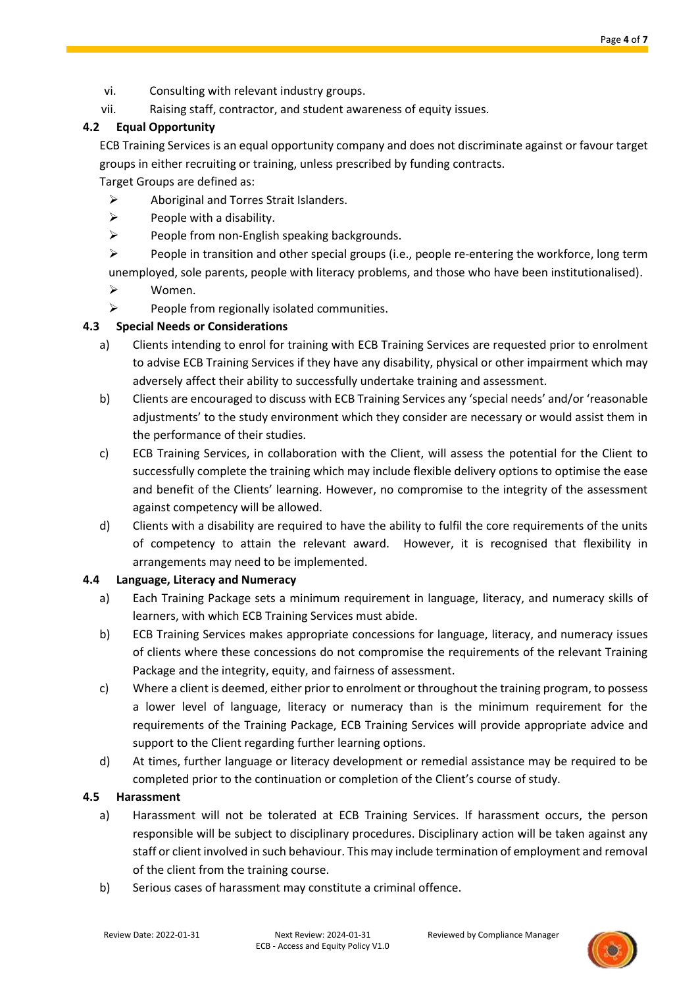- vi. Consulting with relevant industry groups.
- vii. Raising staff, contractor, and student awareness of equity issues.

## **4.2 Equal Opportunity**

ECB Training Services is an equal opportunity company and does not discriminate against or favour target groups in either recruiting or training, unless prescribed by funding contracts.

Target Groups are defined as:

- ➢ Aboriginal and Torres Strait Islanders.
- $\triangleright$  People with a disability.
- $\triangleright$  People from non-English speaking backgrounds.
- $\triangleright$  People in transition and other special groups (i.e., people re-entering the workforce, long term unemployed, sole parents, people with literacy problems, and those who have been institutionalised).
- ➢ Women.
- $\triangleright$  People from regionally isolated communities.

# **4.3 Special Needs or Considerations**

- a) Clients intending to enrol for training with ECB Training Services are requested prior to enrolment to advise ECB Training Services if they have any disability, physical or other impairment which may adversely affect their ability to successfully undertake training and assessment.
- b) Clients are encouraged to discuss with ECB Training Services any 'special needs' and/or 'reasonable adjustments' to the study environment which they consider are necessary or would assist them in the performance of their studies.
- c) ECB Training Services, in collaboration with the Client, will assess the potential for the Client to successfully complete the training which may include flexible delivery options to optimise the ease and benefit of the Clients' learning. However, no compromise to the integrity of the assessment against competency will be allowed.
- d) Clients with a disability are required to have the ability to fulfil the core requirements of the units of competency to attain the relevant award. However, it is recognised that flexibility in arrangements may need to be implemented.

#### **4.4 Language, Literacy and Numeracy**

- a) Each Training Package sets a minimum requirement in language, literacy, and numeracy skills of learners, with which ECB Training Services must abide.
- b) ECB Training Services makes appropriate concessions for language, literacy, and numeracy issues of clients where these concessions do not compromise the requirements of the relevant Training Package and the integrity, equity, and fairness of assessment.
- c) Where a client is deemed, either prior to enrolment or throughout the training program, to possess a lower level of language, literacy or numeracy than is the minimum requirement for the requirements of the Training Package, ECB Training Services will provide appropriate advice and support to the Client regarding further learning options.
- d) At times, further language or literacy development or remedial assistance may be required to be completed prior to the continuation or completion of the Client's course of study.

#### **4.5 Harassment**

- a) Harassment will not be tolerated at ECB Training Services. If harassment occurs, the person responsible will be subject to disciplinary procedures. Disciplinary action will be taken against any staff or client involved in such behaviour. This may include termination of employment and removal of the client from the training course.
- b) Serious cases of harassment may constitute a criminal offence.

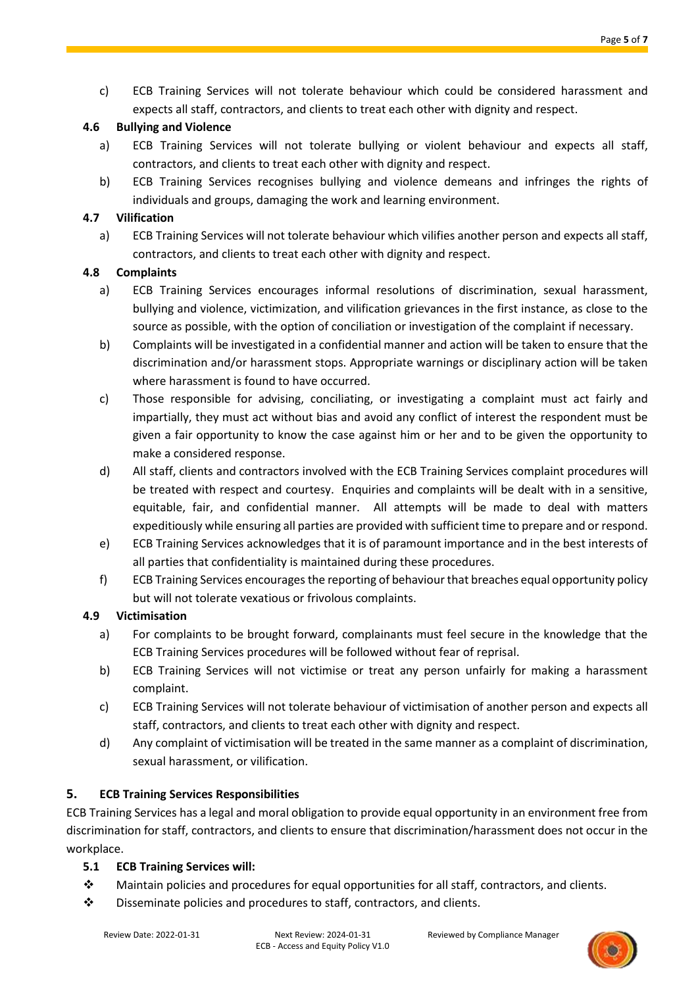c) ECB Training Services will not tolerate behaviour which could be considered harassment and expects all staff, contractors, and clients to treat each other with dignity and respect.

## **4.6 Bullying and Violence**

- a) ECB Training Services will not tolerate bullying or violent behaviour and expects all staff, contractors, and clients to treat each other with dignity and respect.
- b) ECB Training Services recognises bullying and violence demeans and infringes the rights of individuals and groups, damaging the work and learning environment.

# **4.7 Vilification**

a) ECB Training Services will not tolerate behaviour which vilifies another person and expects all staff, contractors, and clients to treat each other with dignity and respect.

# **4.8 Complaints**

- a) ECB Training Services encourages informal resolutions of discrimination, sexual harassment, bullying and violence, victimization, and vilification grievances in the first instance, as close to the source as possible, with the option of conciliation or investigation of the complaint if necessary.
- b) Complaints will be investigated in a confidential manner and action will be taken to ensure that the discrimination and/or harassment stops. Appropriate warnings or disciplinary action will be taken where harassment is found to have occurred.
- c) Those responsible for advising, conciliating, or investigating a complaint must act fairly and impartially, they must act without bias and avoid any conflict of interest the respondent must be given a fair opportunity to know the case against him or her and to be given the opportunity to make a considered response.
- d) All staff, clients and contractors involved with the ECB Training Services complaint procedures will be treated with respect and courtesy. Enquiries and complaints will be dealt with in a sensitive, equitable, fair, and confidential manner. All attempts will be made to deal with matters expeditiously while ensuring all parties are provided with sufficient time to prepare and or respond.
- e) ECB Training Services acknowledges that it is of paramount importance and in the best interests of all parties that confidentiality is maintained during these procedures.
- f) ECB Training Services encourages the reporting of behaviour that breaches equal opportunity policy but will not tolerate vexatious or frivolous complaints.

#### **4.9 Victimisation**

- a) For complaints to be brought forward, complainants must feel secure in the knowledge that the ECB Training Services procedures will be followed without fear of reprisal.
- b) ECB Training Services will not victimise or treat any person unfairly for making a harassment complaint.
- c) ECB Training Services will not tolerate behaviour of victimisation of another person and expects all staff, contractors, and clients to treat each other with dignity and respect.
- d) Any complaint of victimisation will be treated in the same manner as a complaint of discrimination, sexual harassment, or vilification.

# **5. ECB Training Services Responsibilities**

ECB Training Services has a legal and moral obligation to provide equal opportunity in an environment free from discrimination for staff, contractors, and clients to ensure that discrimination/harassment does not occur in the workplace.

#### **5.1 ECB Training Services will:**

- ❖ Maintain policies and procedures for equal opportunities for all staff, contractors, and clients.
- ❖ Disseminate policies and procedures to staff, contractors, and clients.

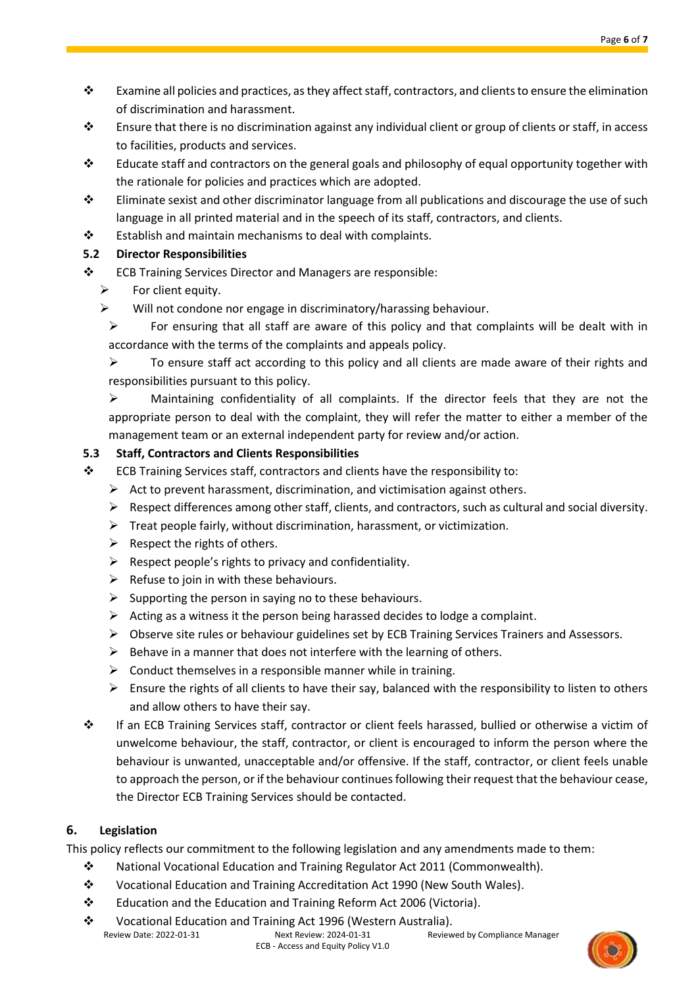- ❖ Examine all policies and practices, as they affect staff, contractors, and clients to ensure the elimination of discrimination and harassment.
- ❖ Ensure that there is no discrimination against any individual client or group of clients or staff, in access to facilities, products and services.
- ❖ Educate staff and contractors on the general goals and philosophy of equal opportunity together with the rationale for policies and practices which are adopted.
- ❖ Eliminate sexist and other discriminator language from all publications and discourage the use of such language in all printed material and in the speech of its staff, contractors, and clients.
- ❖ Establish and maintain mechanisms to deal with complaints.

# **5.2 Director Responsibilities**

- ❖ ECB Training Services Director and Managers are responsible:
	- $\triangleright$  For client equity.
	- ➢ Will not condone nor engage in discriminatory/harassing behaviour.

➢ For ensuring that all staff are aware of this policy and that complaints will be dealt with in accordance with the terms of the complaints and appeals policy.

 $\triangleright$  To ensure staff act according to this policy and all clients are made aware of their rights and responsibilities pursuant to this policy.

➢ Maintaining confidentiality of all complaints. If the director feels that they are not the appropriate person to deal with the complaint, they will refer the matter to either a member of the management team or an external independent party for review and/or action.

# **5.3 Staff, Contractors and Clients Responsibilities**

- ❖ ECB Training Services staff, contractors and clients have the responsibility to:
	- $\triangleright$  Act to prevent harassment, discrimination, and victimisation against others.
	- $\triangleright$  Respect differences among other staff, clients, and contractors, such as cultural and social diversity.
	- ➢ Treat people fairly, without discrimination, harassment, or victimization.
	- $\triangleright$  Respect the rights of others.
	- $\triangleright$  Respect people's rights to privacy and confidentiality.
	- $\triangleright$  Refuse to join in with these behaviours.
	- $\triangleright$  Supporting the person in saying no to these behaviours.
	- $\triangleright$  Acting as a witness it the person being harassed decides to lodge a complaint.
	- ➢ Observe site rules or behaviour guidelines set by ECB Training Services Trainers and Assessors.
	- $\triangleright$  Behave in a manner that does not interfere with the learning of others.
	- $\triangleright$  Conduct themselves in a responsible manner while in training.
	- $\triangleright$  Ensure the rights of all clients to have their say, balanced with the responsibility to listen to others and allow others to have their say.
- ❖ If an ECB Training Services staff, contractor or client feels harassed, bullied or otherwise a victim of unwelcome behaviour, the staff, contractor, or client is encouraged to inform the person where the behaviour is unwanted, unacceptable and/or offensive. If the staff, contractor, or client feels unable to approach the person, or if the behaviour continues following their request that the behaviour cease, the Director ECB Training Services should be contacted.

# **6. Legislation**

This policy reflects our commitment to the following legislation and any amendments made to them:

- ❖ National Vocational Education and Training Regulator Act 2011 (Commonwealth).
- ❖ Vocational Education and Training Accreditation Act 1990 (New South Wales).
- ❖ Education and the Education and Training Reform Act 2006 (Victoria).
- Review Date: 2022-01-31 Next Review: 2024-01-31 Reviewed by Compliance Manager ECB - Access and Equity Policy V1.0 ❖ Vocational Education and Training Act 1996 (Western Australia).